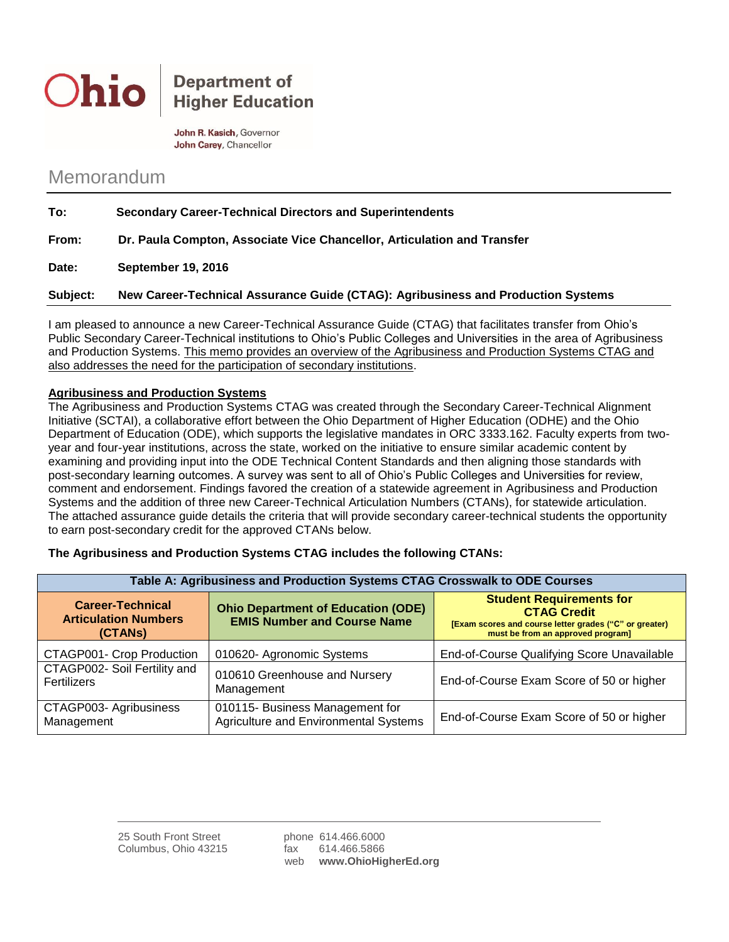

## **Department of Higher Education**

John R. Kasich, Governor John Carey, Chancellor

# Memorandum

| To:          | <b>Secondary Career-Technical Directors and Superintendents</b>         |
|--------------|-------------------------------------------------------------------------|
| From:        | Dr. Paula Compton, Associate Vice Chancellor, Articulation and Transfer |
| <b>Data:</b> | Contambor 10, 2010                                                      |

**Date: September 19, 2016**

**Subject: New Career-Technical Assurance Guide (CTAG): Agribusiness and Production Systems**

I am pleased to announce a new Career-Technical Assurance Guide (CTAG) that facilitates transfer from Ohio's Public Secondary Career-Technical institutions to Ohio's Public Colleges and Universities in the area of Agribusiness and Production Systems. This memo provides an overview of the Agribusiness and Production Systems CTAG and also addresses the need for the participation of secondary institutions.

### **Agribusiness and Production Systems**

The Agribusiness and Production Systems CTAG was created through the Secondary Career-Technical Alignment Initiative (SCTAI), a collaborative effort between the Ohio Department of Higher Education (ODHE) and the Ohio Department of Education (ODE), which supports the legislative mandates in ORC 3333.162. Faculty experts from twoyear and four-year institutions, across the state, worked on the initiative to ensure similar academic content by examining and providing input into the ODE Technical Content Standards and then aligning those standards with post-secondary learning outcomes. A survey was sent to all of Ohio's Public Colleges and Universities for review, comment and endorsement. Findings favored the creation of a statewide agreement in Agribusiness and Production Systems and the addition of three new Career-Technical Articulation Numbers (CTANs), for statewide articulation. The attached assurance guide details the criteria that will provide secondary career-technical students the opportunity to earn post-secondary credit for the approved CTANs below.

| Table A: Agribusiness and Production Systems CTAG Crosswalk to ODE Courses |                                                                                 |                                                                                                                                                      |  |
|----------------------------------------------------------------------------|---------------------------------------------------------------------------------|------------------------------------------------------------------------------------------------------------------------------------------------------|--|
| <b>Career-Technical</b><br><b>Articulation Numbers</b><br>(CTANS)          | <b>Ohio Department of Education (ODE)</b><br><b>EMIS Number and Course Name</b> | <b>Student Requirements for</b><br><b>CTAG Credit</b><br>[Exam scores and course letter grades ("C" or greater)<br>must be from an approved program] |  |
| CTAGP001- Crop Production                                                  | 010620- Agronomic Systems                                                       | End-of-Course Qualifying Score Unavailable                                                                                                           |  |
| CTAGP002- Soil Fertility and<br><b>Fertilizers</b>                         | 010610 Greenhouse and Nursery<br>Management                                     | End-of-Course Exam Score of 50 or higher                                                                                                             |  |
| CTAGP003- Agribusiness<br>Management                                       | 010115- Business Management for<br>Agriculture and Environmental Systems        | End-of-Course Exam Score of 50 or higher                                                                                                             |  |

#### **The Agribusiness and Production Systems CTAG includes the following CTANs:**